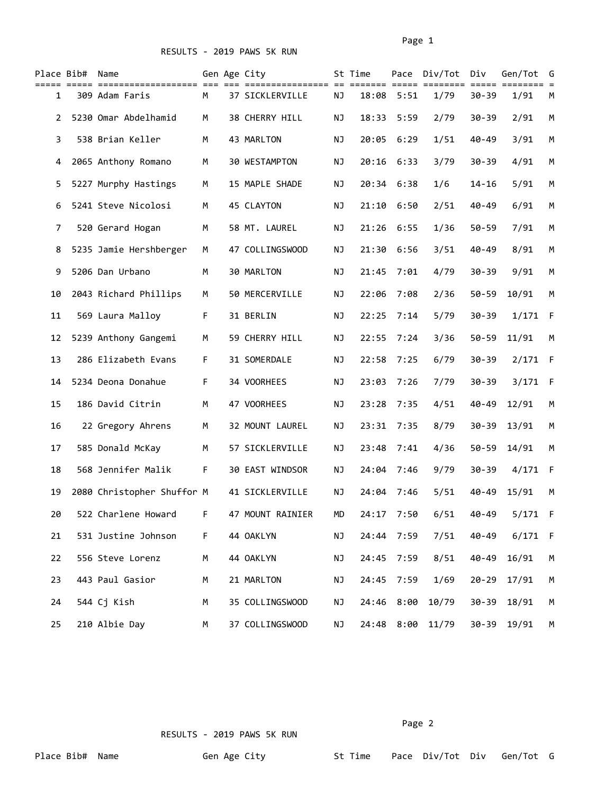|                | Place Bib# Name |                            |    | Gen Age City     |           | St Time    |            | Pace Div/Tot | Div       | Gen/Tot     | G   |
|----------------|-----------------|----------------------------|----|------------------|-----------|------------|------------|--------------|-----------|-------------|-----|
| 1              |                 | 309 Adam Faris             | M  | 37 SICKLERVILLE  | ΝJ        | 18:08      | 5:51       | 1/79         | $30 - 39$ | 1/91        | M   |
| $\overline{2}$ |                 | 5230 Omar Abdelhamid       | М  | 38 CHERRY HILL   | ΝJ        | 18:33      | 5:59       | 2/79         | $30 - 39$ | 2/91        | М   |
| 3              |                 | 538 Brian Keller           | М  | 43 MARLTON       | ΝJ        | 20:05      | 6:29       | 1/51         | $40 - 49$ | 3/91        | М   |
| 4              |                 | 2065 Anthony Romano        | М  | 30 WESTAMPTON    | ΝJ        | 20:16      | 6:33       | 3/79         | $30 - 39$ | 4/91        | М   |
| 5.             |                 | 5227 Murphy Hastings       | M  | 15 MAPLE SHADE   | ΝJ        | 20:34      | 6:38       | 1/6          | $14 - 16$ | 5/91        | М   |
| 6              |                 | 5241 Steve Nicolosi        | М  | 45 CLAYTON       | ΝJ        | 21:10      | 6:50       | 2/51         | $40 - 49$ | 6/91        | М   |
| 7              |                 | 520 Gerard Hogan           | М  | 58 MT. LAUREL    | <b>NJ</b> | 21:26      | 6:55       | 1/36         | $50 - 59$ | 7/91        | М   |
| 8              |                 | 5235 Jamie Hershberger     | M  | 47 COLLINGSWOOD  | ΝJ        | 21:30      | 6:56       | 3/51         | $40 - 49$ | 8/91        | М   |
| 9              |                 | 5206 Dan Urbano            | М  | 30 MARLTON       | ΝJ        | 21:45      | 7:01       | 4/79         | $30 - 39$ | 9/91        | M   |
| 10             |                 | 2043 Richard Phillips      | М  | 50 MERCERVILLE   | ΝJ        | 22:06      | 7:08       | 2/36         | $50 - 59$ | 10/91       | M   |
| 11             |                 | 569 Laura Malloy           | F  | 31 BERLIN        | ΝJ        | 22:25      | 7:14       | 5/79         | $30 - 39$ | 1/171       | - F |
| 12             |                 | 5239 Anthony Gangemi       | М  | 59 CHERRY HILL   | ΝJ        | 22:55      | 7:24       | 3/36         | $50 - 59$ | 11/91       | М   |
| 13             |                 | 286 Elizabeth Evans        | F. | 31 SOMERDALE     | <b>NJ</b> | 22:58      | 7:25       | 6/79         | $30 - 39$ | 2/171       | - F |
| 14             |                 | 5234 Deona Donahue         | F. | 34 VOORHEES      | ΝJ        | 23:03      | 7:26       | 7/79         | $30 - 39$ | 3/171       | - F |
| 15             |                 | 186 David Citrin           | М  | 47 VOORHEES      | ΝJ        | 23:28      | 7:35       | 4/51         | $40 - 49$ | 12/91       | М   |
| 16             |                 | 22 Gregory Ahrens          | М  | 32 MOUNT LAUREL  | ΝJ        | 23:31      | 7:35       | 8/79         | $30 - 39$ | 13/91       | М   |
| 17             |                 | 585 Donald McKay           | M  | 57 SICKLERVILLE  | ΝJ        | 23:48      | 7:41       | 4/36         | $50 - 59$ | 14/91       | M   |
| 18             |                 | 568 Jennifer Malik         | F  | 30 EAST WINDSOR  | NJ        | 24:04      | 7:46       | 9/79         | $30 - 39$ | 4/171 F     |     |
| 19             |                 | 2080 Christopher Shuffor M |    | 41 SICKLERVILLE  | NJ        | 24:04      | 7:46       | 5/51         | $40 - 49$ | 15/91       | М   |
| 20             |                 | 522 Charlene Howard F      |    | 47 MOUNT RAINIER | MD        |            | 24:17 7:50 | 6/51         | 40-49     | $5/171$ F   |     |
| 21             |                 | 531 Justine Johnson        | F. | 44 OAKLYN        | ΝJ        | 24:44 7:59 |            | 7/51         | $40 - 49$ | $6/171$ F   |     |
| 22             |                 | 556 Steve Lorenz           | М  | 44 OAKLYN        | NJ        |            | 24:45 7:59 | 8/51         | $40 - 49$ | 16/91       | М   |
| 23             |                 | 443 Paul Gasior            | M  | 21 MARLTON       | ΝJ        | 24:45      | 7:59       | 1/69         | $20 - 29$ | 17/91       | М   |
| 24             |                 | 544 Cj Kish                | М  | 35 COLLINGSWOOD  | ΝJ        | 24:46      | 8:00       | 10/79        | $30 - 39$ | 18/91       | M   |
| 25             |                 | 210 Albie Day              | М  | 37 COLLINGSWOOD  | ΝJ        | 24:48      | 8:00       | 11/79        |           | 30-39 19/91 | М   |

Page 2 and the contract of the contract of the contract of the contract of the contract of the contract of the contract of the contract of the contract of the contract of the contract of the contract of the contract of the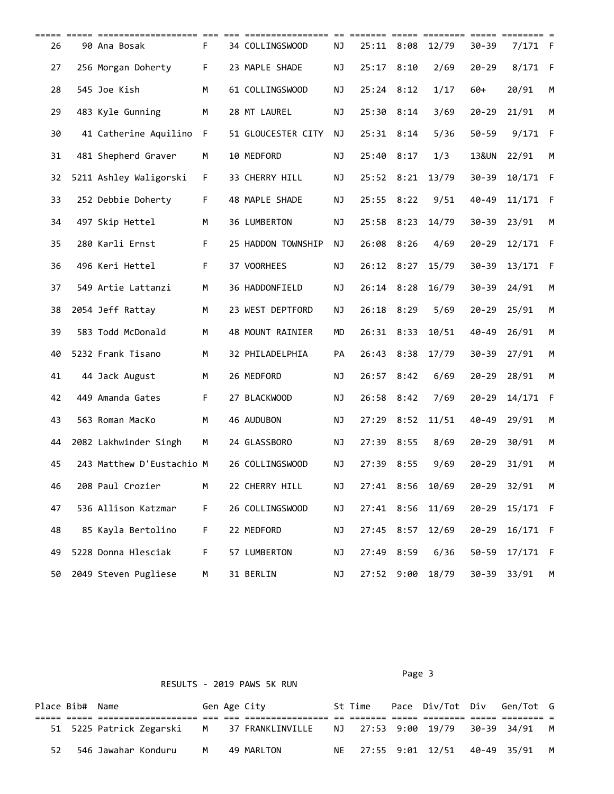| ===== ===== | ===================       | $== =$ |                    | $==$ | =======      | =====      | <b>========</b> |           | $=$ $=$ $=$ $=$ $=$ $=$ $=$ $=$ $=$ |     |
|-------------|---------------------------|--------|--------------------|------|--------------|------------|-----------------|-----------|-------------------------------------|-----|
| 26          | 90 Ana Bosak              | F.     | 34 COLLINGSWOOD    | NJ   | 25:11        | 8:08       | 12/79           | $30 - 39$ | 7/171                               | - F |
| 27          | 256 Morgan Doherty        | F.     | 23 MAPLE SHADE     | ΝJ   | 25:17        | 8:10       | 2/69            | $20 - 29$ | 8/171                               | -F  |
| 28          | 545 Joe Kish              | М      | 61 COLLINGSWOOD    | NJ   | 25:24 8:12   |            | 1/17            | 60+       | 20/91                               | M   |
| 29          | 483 Kyle Gunning          | М      | 28 MT LAUREL       | ΝJ   | 25:30 8:14   |            | 3/69            | $20 - 29$ | 21/91                               | М   |
| 30          | 41 Catherine Aquilino     | F      | 51 GLOUCESTER CITY | ΝJ   | $25:31$ 8:14 |            | 5/36            | $50 - 59$ | 9/171                               | -F  |
| 31          | 481 Shepherd Graver       | М      | 10 MEDFORD         | NJ   | 25:40        | 8:17       | 1/3             | 13&UN     | 22/91                               | M   |
| 32          | 5211 Ashley Waligorski    | F.     | 33 CHERRY HILL     | ΝJ   | 25:52 8:21   |            | 13/79           | $30 - 39$ | 10/171 F                            |     |
| 33          | 252 Debbie Doherty        | F.     | 48 MAPLE SHADE     | ΝJ   | 25:55        | 8:22       | 9/51            | $40 - 49$ | 11/171                              | - F |
| 34          | 497 Skip Hettel           | M      | 36 LUMBERTON       | NJ   | 25:58 8:23   |            | 14/79           | $30 - 39$ | 23/91                               | M   |
| 35          | 280 Karli Ernst           | F.     | 25 HADDON TOWNSHIP | NJ   | 26:08 8:26   |            | 4/69            | $20 - 29$ | 12/171 F                            |     |
| 36          | 496 Keri Hettel           | F.     | 37 VOORHEES        | NJ   | 26:12 8:27   |            | 15/79           | $30 - 39$ | 13/171                              | -F  |
| 37          | 549 Artie Lattanzi        | М      | 36 HADDONFIELD     | NJ   | 26:14 8:28   |            | 16/79           | $30 - 39$ | 24/91                               | M   |
| 38          | 2054 Jeff Rattay          | М      | 23 WEST DEPTFORD   | NJ   | 26:18        | 8:29       | 5/69            | $20 - 29$ | 25/91                               | М   |
| 39          | 583 Todd McDonald         | М      | 48 MOUNT RAINIER   | MD   | 26:31        | 8:33       | 10/51           | $40 - 49$ | 26/91                               | М   |
| 40          | 5232 Frank Tisano         | M      | 32 PHILADELPHIA    | PA   | 26:43 8:38   |            | 17/79           | $30 - 39$ | 27/91                               | M   |
| 41          | 44 Jack August            | М      | 26 MEDFORD         | ΝJ   | 26:57 8:42   |            | 6/69            | $20 - 29$ | 28/91                               | M   |
| 42          | 449 Amanda Gates          | F.     | 27 BLACKWOOD       | NJ   | 26:58 8:42   |            | 7/69            | $20 - 29$ | 14/171                              | -F  |
| 43          | 563 Roman MacKo           | М      | 46 AUDUBON         | NJ   | 27:29 8:52   |            | 11/51           | $40 - 49$ | 29/91                               | M   |
| 44          | 2082 Lakhwinder Singh     | М      | 24 GLASSBORO       | ΝJ   | 27:39 8:55   |            | 8/69            | $20 - 29$ | 30/91                               | М   |
| 45          | 243 Matthew D'Eustachio M |        | 26 COLLINGSWOOD    | NJ   | 27:39        | 8:55       | 9/69            | $20 - 29$ | 31/91                               | М   |
| 46          | 208 Paul Crozier          | М      | 22 CHERRY HILL     | ΝJ   |              | 27:41 8:56 | 10/69           | $20 - 29$ | 32/91                               | м   |
| 47          | 536 Allison Katzmar       | F.     | 26 COLLINGSWOOD    | ΝJ   | 27:41 8:56   |            | 11/69           | $20 - 29$ | 15/171 F                            |     |
| 48          | 85 Kayla Bertolino        | F.     | 22 MEDFORD         | ΝJ   | 27:45 8:57   |            | 12/69           | $20 - 29$ | 16/171 F                            |     |
| 49          | 5228 Donna Hlesciak       | F.     | 57 LUMBERTON       | ΝJ   | 27:49 8:59   |            | 6/36            | $50 - 59$ | 17/171 F                            |     |
| 50          | 2049 Steven Pugliese      | М      | 31 BERLIN          | NJ   |              | 27:52 9:00 | 18/79           | $30 - 39$ | 33/91                               | M   |

| RESULTS - 2019 PAWS 5K RUN |  |  |
|----------------------------|--|--|
|                            |  |  |

Page 3 and 2012 and 2012 and 2012 and 2012 and 2012 and 2012 and 2012 and 2012 and 2012 and 2012 and 2012 and

| Place Bib# Name |                          |   | Gen Age City                                       | St Time | Pace Div/Tot Div Gen/Tot G      |  |   |
|-----------------|--------------------------|---|----------------------------------------------------|---------|---------------------------------|--|---|
|                 |                          |   |                                                    |         |                                 |  |   |
|                 | 51 5225 Patrick Zegarski |   | M 37 FRANKLINVILLE NJ 27:53 9:00 19/79 30-39 34/91 |         |                                 |  | M |
|                 | 546 Jawahar Konduru      | M | 49 MARLTON                                         |         | NE 27:55 9:01 12/51 40-49 35/91 |  |   |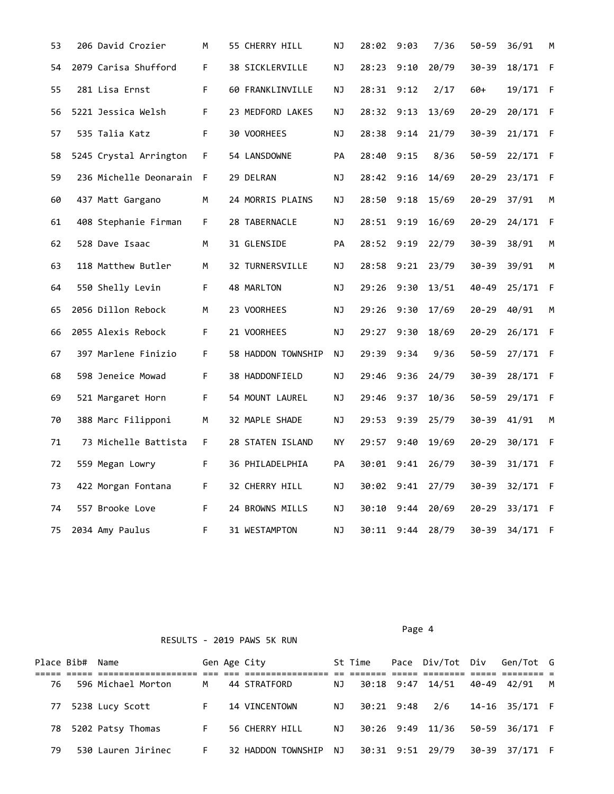| 53 | 206 David Crozier      | М  | 55 CHERRY HILL     | ΝJ  | 28:02      | 9:03 | 7/36  | $50 - 59$ | 36/91    | М   |
|----|------------------------|----|--------------------|-----|------------|------|-------|-----------|----------|-----|
| 54 | 2079 Carisa Shufford   | F  | 38 SICKLERVILLE    | ΝJ  | 28:23      | 9:10 | 20/79 | $30 - 39$ | 18/171 F |     |
| 55 | 281 Lisa Ernst         | F  | 60 FRANKLINVILLE   | ΝJ  | 28:31 9:12 |      | 2/17  | $60+$     | 19/171 F |     |
| 56 | 5221 Jessica Welsh     | F. | 23 MEDFORD LAKES   | ΝJ  | 28:32 9:13 |      | 13/69 | $20 - 29$ | 20/171 F |     |
| 57 | 535 Talia Katz         | F. | 30 VOORHEES        | ΝJ  | 28:38      | 9:14 | 21/79 | $30 - 39$ | 21/171 F |     |
| 58 | 5245 Crystal Arrington | F. | 54 LANSDOWNE       | PA  | 28:40 9:15 |      | 8/36  | $50 - 59$ | 22/171 F |     |
| 59 | 236 Michelle Deonarain | F  | 29 DELRAN          | ΝJ  | 28:42 9:16 |      | 14/69 | $20 - 29$ | 23/171 F |     |
| 60 | 437 Matt Gargano       | М  | 24 MORRIS PLAINS   | ΝJ  | 28:50      | 9:18 | 15/69 | $20 - 29$ | 37/91    | М   |
| 61 | 408 Stephanie Firman   | F. | 28 TABERNACLE      | ΝJ  | 28:51 9:19 |      | 16/69 | $20 - 29$ | 24/171 F |     |
| 62 | 528 Dave Isaac         | М  | 31 GLENSIDE        | PA  | 28:52 9:19 |      | 22/79 | 30-39     | 38/91    | M   |
| 63 | 118 Matthew Butler     | М  | 32 TURNERSVILLE    | ΝJ  | 28:58      | 9:21 | 23/79 | $30 - 39$ | 39/91    | М   |
| 64 | 550 Shelly Levin       | F  | 48 MARLTON         | ΝJ  | 29:26 9:30 |      | 13/51 | 40-49     | 25/171 F |     |
| 65 | 2056 Dillon Rebock     | М  | 23 VOORHEES        | ΝJ  | 29:26      | 9:30 | 17/69 | $20 - 29$ | 40/91    | М   |
| 66 | 2055 Alexis Rebock     | F  | 21 VOORHEES        | ΝJ  | 29:27      | 9:30 | 18/69 | $20 - 29$ | 26/171   | - F |
| 67 | 397 Marlene Finizio    | F  | 58 HADDON TOWNSHIP | NJ. | 29:39 9:34 |      | 9/36  | $50 - 59$ | 27/171 F |     |
| 68 | 598 Jeneice Mowad      | F  | 38 HADDONFIELD     | ΝJ  | 29:46      | 9:36 | 24/79 | $30 - 39$ | 28/171 F |     |
| 69 | 521 Margaret Horn      | F  | 54 MOUNT LAUREL    | ΝJ  | 29:46      | 9:37 | 10/36 | $50 - 59$ | 29/171 F |     |
| 70 | 388 Marc Filipponi     | М  | 32 MAPLE SHADE     | ΝJ  | 29:53 9:39 |      | 25/79 | $30 - 39$ | 41/91    | М   |
| 71 | 73 Michelle Battista   | F. | 28 STATEN ISLAND   | NY  | 29:57      | 9:40 | 19/69 | 20-29     | 30/171 F |     |
| 72 | 559 Megan Lowry        | F  | 36 PHILADELPHIA    | PA  | 30:01 9:41 |      | 26/79 | $30 - 39$ | 31/171 F |     |
| 73 | 422 Morgan Fontana     | F. | 32 CHERRY HILL     | ΝJ  | 30:02 9:41 |      | 27/79 | $30 - 39$ | 32/171 F |     |
| 74 | 557 Brooke Love        | F. | 24 BROWNS MILLS    | ΝJ  | 30:10      | 9:44 | 20/69 | 20-29     | 33/171 F |     |
| 75 | 2034 Amy Paulus        | F. | 31 WESTAMPTON      | NJ  | 30:11 9:44 |      | 28/79 | $30 - 39$ | 34/171 F |     |

Page 4 and the state of the state of the state of the state of the state of the state of the state of the state of the state of the state of the state of the state of the state of the state of the state of the state of the

|     | Place Bib# Name |                      |    | Gen Age City       |     | St Time             | Pace Div/Tot Div Gen/Tot G |                |          |
|-----|-----------------|----------------------|----|--------------------|-----|---------------------|----------------------------|----------------|----------|
|     |                 |                      |    |                    |     |                     |                            |                |          |
| 76. |                 | 596 Michael Morton   | M  | 44 STRATFORD       | NJ  |                     | 30:18 9:47 14/51           | 40-49 42/91    | <b>M</b> |
| 77  |                 | 5238 Lucy Scott      | F. | 14 VINCENTOWN      | NJ  | 30:21 9:48 2/6      |                            | 14-16 35/171 F |          |
|     |                 | 78 5202 Patsy Thomas | F. | 56 CHERRY HILL     |     | NJ 30:26 9:49 11/36 |                            | 50-59 36/171 F |          |
| 79  |                 | 530 Lauren Jirinec   | F. | 32 HADDON TOWNSHIP | NJ. |                     | 30:31 9:51 29/79           | 30-39 37/171 F |          |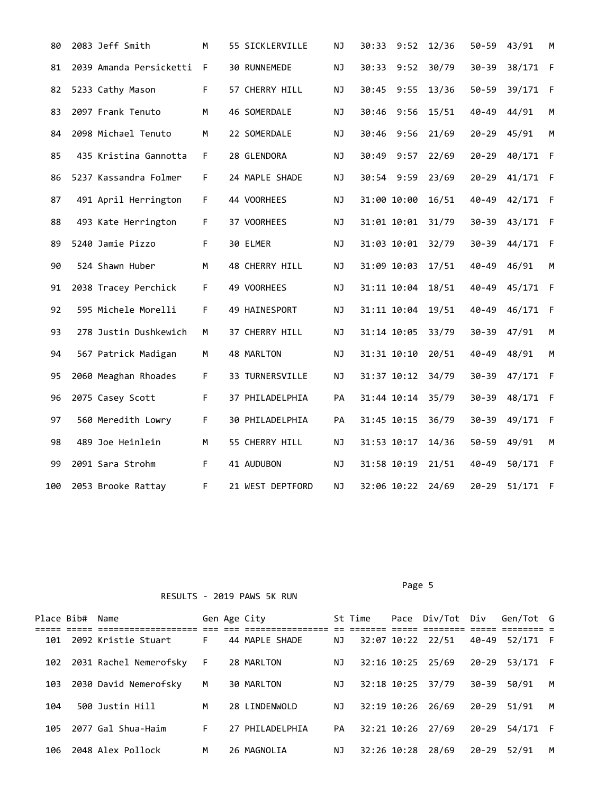| 80  | 2083 Jeff Smith         | M  | 55 SICKLERVILLE  | <b>NJ</b> | 30:33<br>9:52 | 12/36 | $50 - 59$ | 43/91    | М            |
|-----|-------------------------|----|------------------|-----------|---------------|-------|-----------|----------|--------------|
| 81  | 2039 Amanda Persicketti | F  | 30 RUNNEMEDE     | NJ        | 30:33<br>9:52 | 30/79 | $30 - 39$ | 38/171   | F            |
| 82  | 5233 Cathy Mason        | F. | 57 CHERRY HILL   | NJ        | 30:45<br>9:55 | 13/36 | $50 - 59$ | 39/171   | $\mathsf{F}$ |
| 83  | 2097 Frank Tenuto       | M  | 46 SOMERDALE     | NJ        | 30:46<br>9:56 | 15/51 | $40 - 49$ | 44/91    | M            |
| 84  | 2098 Michael Tenuto     | M  | 22 SOMERDALE     | NJ        | 30:46 9:56    | 21/69 | 20-29     | 45/91    | M            |
| 85  | 435 Kristina Gannotta   | F. | 28 GLENDORA      | NJ        | 30:49 9:57    | 22/69 | $20 - 29$ | 40/171 F |              |
| 86  | 5237 Kassandra Folmer   | F. | 24 MAPLE SHADE   | ΝJ        | 30:54 9:59    | 23/69 | $20 - 29$ | 41/171 F |              |
| 87  | 491 April Herrington    | F. | 44 VOORHEES      | <b>NJ</b> | 31:00 10:00   | 16/51 | $40 - 49$ | 42/171 F |              |
| 88  | 493 Kate Herrington     | F. | 37 VOORHEES      | ΝJ        | 31:01 10:01   | 31/79 | $30 - 39$ | 43/171 F |              |
| 89  | 5240 Jamie Pizzo        | F  | 30 ELMER         | NJ        | 31:03 10:01   | 32/79 | $30 - 39$ | 44/171 F |              |
| 90  | 524 Shawn Huber         | M  | 48 CHERRY HILL   | NJ        | 31:09 10:03   | 17/51 | $40 - 49$ | 46/91    | M            |
| 91  | 2038 Tracey Perchick    | F. | 49 VOORHEES      | NJ        | 31:11 10:04   | 18/51 | $40 - 49$ | 45/171 F |              |
| 92  | 595 Michele Morelli     | F  | 49 HAINESPORT    | NJ        | 31:11 10:04   | 19/51 | $40 - 49$ | 46/171   | F            |
| 93  | 278 Justin Dushkewich   | М  | 37 CHERRY HILL   | ΝJ        | 31:14 10:05   | 33/79 | $30 - 39$ | 47/91    | M            |
| 94  | 567 Patrick Madigan     | М  | 48 MARLTON       | <b>NJ</b> | 31:31 10:10   | 20/51 | $40 - 49$ | 48/91    | M            |
| 95  | 2060 Meaghan Rhoades    | F  | 33 TURNERSVILLE  | NJ        | 31:37 10:12   | 34/79 | $30 - 39$ | 47/171 F |              |
| 96  | 2075 Casey Scott        | F. | 37 PHILADELPHIA  | PA        | 31:44 10:14   | 35/79 | $30 - 39$ | 48/171 F |              |
| 97  | 560 Meredith Lowry      | F. | 30 PHILADELPHIA  | PA        | 31:45 10:15   | 36/79 | $30 - 39$ | 49/171 F |              |
| 98  | 489 Joe Heinlein        | M  | 55 CHERRY HILL   | NJ        | 31:53 10:17   | 14/36 | $50 - 59$ | 49/91    | M            |
| 99  | 2091 Sara Strohm        | F. | 41 AUDUBON       | ΝJ        | 31:58 10:19   | 21/51 | $40 - 49$ | 50/171   | $\mathsf{F}$ |
| 100 | 2053 Brooke Rattay      | F  | 21 WEST DEPTFORD | NJ        | 32:06 10:22   | 24/69 | $20 - 29$ | 51/171   | F            |

## Page 5 and the state of the state of the state of the state of the state of the state of the state of the state of the state of the state of the state of the state of the state of the state of the state of the state of the

|     | Place Bib# Name |                        |     | Gen Age City    |    | St Time |             | Pace Div/Tot Div     |           | Gen/Tot G |   |
|-----|-----------------|------------------------|-----|-----------------|----|---------|-------------|----------------------|-----------|-----------|---|
|     |                 |                        |     |                 |    |         |             | --------- ----- ---- |           |           |   |
| 101 |                 | 2092 Kristie Stuart    | F.  | 44 MAPLE SHADE  | NJ |         |             | 32:07 10:22 22/51    | 40-49     | 52/171 F  |   |
| 102 |                 | 2031 Rachel Nemerofsky | - F | 28 MARLTON      | ΝJ |         |             | 32:16 10:25 25/69    | 20-29     | 53/171 F  |   |
| 103 |                 | 2030 David Nemerofsky  | M   | 30 MARLTON      | NJ |         |             | 32:18 10:25 37/79    | 30-39     | 50/91     | м |
| 104 |                 | 500 Justin Hill        | M   | 28 LINDENWOLD   | ΝJ |         | 32:19 10:26 | 26/69                | 20-29     | 51/91     | M |
| 105 |                 | 2077 Gal Shua-Haim     | F.  | 27 PHILADELPHIA | PA |         |             | 32:21 10:26 27/69    | $20 - 29$ | 54/171 F  |   |
| 106 |                 | 2048 Alex Pollock      | М   | 26 MAGNOLIA     | ΝJ |         | 32:26 10:28 | 28/69                | $20 - 29$ | 52/91     | м |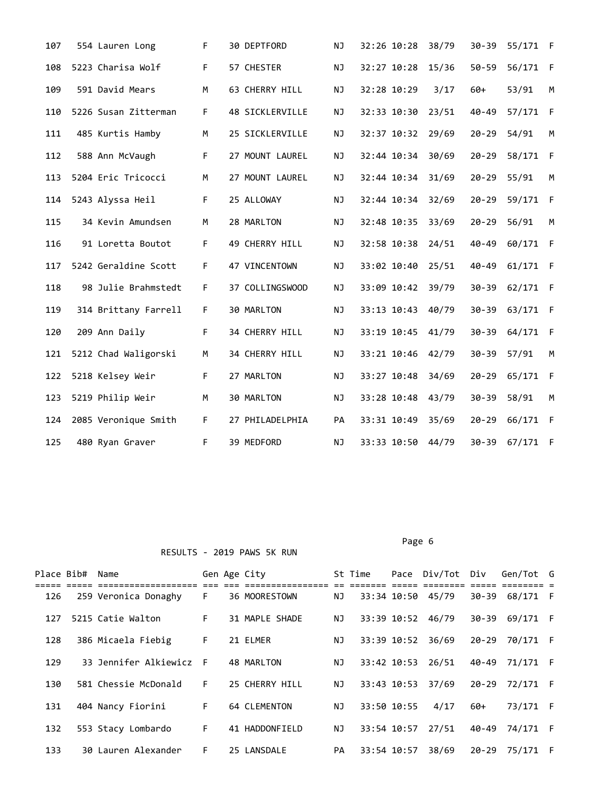| 107 | 554 Lauren Long      | F. | 30 DEPTFORD     | NJ.       | 32:26 10:28 | 38/79 | $30 - 39$ | 55/171 F |      |
|-----|----------------------|----|-----------------|-----------|-------------|-------|-----------|----------|------|
| 108 | 5223 Charisa Wolf    | F. | 57 CHESTER      | ΝJ        | 32:27 10:28 | 15/36 | $50 - 59$ | 56/171 F |      |
| 109 | 591 David Mears      | M  | 63 CHERRY HILL  | NJ.       | 32:28 10:29 | 3/17  | $60+$     | 53/91    | M    |
| 110 | 5226 Susan Zitterman | F. | 48 SICKLERVILLE | NJ        | 32:33 10:30 | 23/51 | $40 - 49$ | 57/171 F |      |
| 111 | 485 Kurtis Hamby     | М  | 25 SICKLERVILLE | ΝJ        | 32:37 10:32 | 29/69 | $20 - 29$ | 54/91    | M    |
| 112 | 588 Ann McVaugh      | F. | 27 MOUNT LAUREL | NJ.       | 32:44 10:34 | 30/69 | $20 - 29$ | 58/171   | - F  |
| 113 | 5204 Eric Tricocci   | M  | 27 MOUNT LAUREL | <b>NJ</b> | 32:44 10:34 | 31/69 | $20 - 29$ | 55/91    | M    |
| 114 | 5243 Alyssa Heil     | F. | 25 ALLOWAY      | ΝJ        | 32:44 10:34 | 32/69 | $20 - 29$ | 59/171   | - F  |
| 115 | 34 Kevin Amundsen    | М  | 28 MARLTON      | ΝJ        | 32:48 10:35 | 33/69 | $20 - 29$ | 56/91    | M    |
| 116 | 91 Loretta Boutot    | F. | 49 CHERRY HILL  | <b>NJ</b> | 32:58 10:38 | 24/51 | $40 - 49$ | 60/171 F |      |
| 117 | 5242 Geraldine Scott | F. | 47 VINCENTOWN   | ΝJ        | 33:02 10:40 | 25/51 | 40-49     | 61/171 F |      |
| 118 | 98 Julie Brahmstedt  | F. | 37 COLLINGSWOOD | NJ        | 33:09 10:42 | 39/79 | $30 - 39$ | 62/171 F |      |
| 119 | 314 Brittany Farrell | F. | 30 MARLTON      | NJ        | 33:13 10:43 | 40/79 | $30 - 39$ | 63/171   | $-F$ |
| 120 | 209 Ann Daily        | F. | 34 CHERRY HILL  | ΝJ        | 33:19 10:45 | 41/79 | $30 - 39$ | 64/171   | $-F$ |
| 121 | 5212 Chad Waligorski | M  | 34 CHERRY HILL  | NJ        | 33:21 10:46 | 42/79 | $30 - 39$ | 57/91    | M    |
| 122 | 5218 Kelsey Weir     | F. | 27 MARLTON      | NJ        | 33:27 10:48 | 34/69 | $20 - 29$ | 65/171   | F    |
| 123 | 5219 Philip Weir     | M  | 30 MARLTON      | NJ        | 33:28 10:48 | 43/79 | $30 - 39$ | 58/91    | M    |
| 124 | 2085 Veronique Smith | F. | 27 PHILADELPHIA | <b>PA</b> | 33:31 10:49 | 35/69 | $20 - 29$ | 66/171   | - F  |
| 125 | 480 Ryan Graver      | F. | 39 MEDFORD      | NJ        | 33:33 10:50 | 44/79 | $30 - 39$ | 67/171 F |      |

Page 6 and the contract of the contract of the contract of the contract of the contract of the contract of the contract of the contract of the contract of the contract of the contract of the contract of the contract of the

|     | Place Bib# Name |                         |                     | Gen Age City   |     | St Time     |             | Pace Div/Tot Div  |           | Gen/Tot G      |  |
|-----|-----------------|-------------------------|---------------------|----------------|-----|-------------|-------------|-------------------|-----------|----------------|--|
|     |                 |                         | $=$ $=$ $=$ $=$ $=$ |                |     |             |             |                   |           |                |  |
| 126 |                 | 259 Veronica Donaghy    | F.                  | 36 MOORESTOWN  | NJ  |             |             | 33:34 10:50 45/79 |           | 30-39 68/171 F |  |
| 127 |                 | 5215 Catie Walton       | F.                  | 31 MAPLE SHADE | NJ  |             | 33:39 10:52 | 46/79             |           | 30-39 69/171 F |  |
| 128 |                 | 386 Micaela Fiebig      | F.                  | 21 ELMER       | NJ. | 33:39 10:52 |             | 36/69             | $20 - 29$ | 70/171 F       |  |
| 129 |                 | 33 Jennifer Alkiewicz F |                     | 48 MARLTON     | NJ  |             | 33:42 10:53 | 26/51             |           | 40-49 71/171 F |  |
| 130 |                 | 581 Chessie McDonald    | F.                  | 25 CHERRY HILL | NJ  |             | 33:43 10:53 | 37/69             | 20-29     | 72/171 F       |  |
| 131 |                 | 404 Nancy Fiorini       | F.                  | 64 CLEMENTON   | ΝJ  | 33:50 10:55 |             | 4/17              | $60+$     | 73/171 F       |  |
| 132 |                 | 553 Stacy Lombardo      | F.                  | 41 HADDONFIELD | ΝJ  |             | 33:54 10:57 | 27/51             | 40-49     | 74/171 F       |  |
| 133 |                 | 30 Lauren Alexander     | F.                  | 25 LANSDALE    | PA  |             | 33:54 10:57 | 38/69             |           | 20-29 75/171 F |  |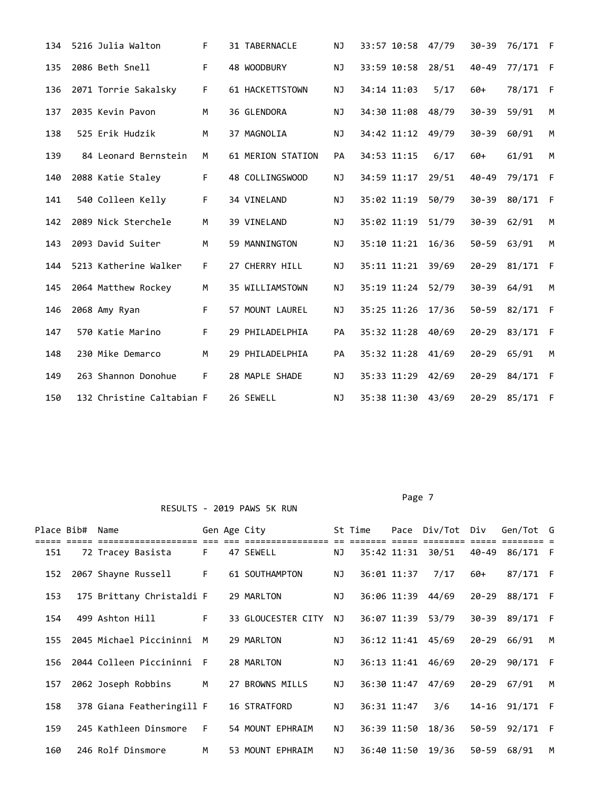| 134 | 5216 Julia Walton         | F. | 31 TABERNACLE     | NJ.       | 33:57 10:58 | 47/79 | $30 - 39$ | 76/171 F |     |
|-----|---------------------------|----|-------------------|-----------|-------------|-------|-----------|----------|-----|
| 135 | 2086 Beth Snell           | F. | 48 WOODBURY       | ΝJ        | 33:59 10:58 | 28/51 | $40 - 49$ | 77/171   | - F |
| 136 | 2071 Torrie Sakalsky      | F  | 61 HACKETTSTOWN   | ΝJ        | 34:14 11:03 | 5/17  | 60+       | 78/171   | - F |
| 137 | 2035 Kevin Pavon          | M  | 36 GLENDORA       | ΝJ        | 34:30 11:08 | 48/79 | $30 - 39$ | 59/91    | M   |
| 138 | 525 Erik Hudzik           | M  | 37 MAGNOLIA       | NJ.       | 34:42 11:12 | 49/79 | $30 - 39$ | 60/91    | M   |
| 139 | 84 Leonard Bernstein      | М  | 61 MERION STATION | <b>PA</b> | 34:53 11:15 | 6/17  | $60+$     | 61/91    | M   |
| 140 | 2088 Katie Staley         | F. | 48 COLLINGSWOOD   | NJ.       | 34:59 11:17 | 29/51 | $40 - 49$ | 79/171   | F   |
| 141 | 540 Colleen Kelly         | F. | 34 VINELAND       | NJ.       | 35:02 11:19 | 50/79 | $30 - 39$ | 80/171   | - F |
| 142 | 2089 Nick Sterchele       | M  | 39 VINELAND       | NJ.       | 35:02 11:19 | 51/79 | $30 - 39$ | 62/91    | М   |
| 143 | 2093 David Suiter         | M  | 59 MANNINGTON     | NJ        | 35:10 11:21 | 16/36 | $50 - 59$ | 63/91    | M   |
| 144 | 5213 Katherine Walker     | F. | 27 CHERRY HILL    | NJ        | 35:11 11:21 | 39/69 | $20 - 29$ | 81/171   | -F  |
| 145 | 2064 Matthew Rockey       | M  | 35 WILLIAMSTOWN   | NJ.       | 35:19 11:24 | 52/79 | $30 - 39$ | 64/91    | M   |
| 146 | 2068 Amy Ryan             | F. | 57 MOUNT LAUREL   | NJ        | 35:25 11:26 | 17/36 | $50 - 59$ | 82/171   | - F |
| 147 | 570 Katie Marino          | F  | 29 PHILADELPHIA   | PA        | 35:32 11:28 | 40/69 | $20 - 29$ | 83/171   | F   |
| 148 | 230 Mike Demarco          | M  | 29 PHILADELPHIA   | PA        | 35:32 11:28 | 41/69 | $20 - 29$ | 65/91    | М   |
| 149 | 263 Shannon Donohue       | F  | 28 MAPLE SHADE    | NJ.       | 35:33 11:29 | 42/69 | $20 - 29$ | 84/171   | - F |
| 150 | 132 Christine Caltabian F |    | 26 SEWELL         | NJ.       | 35:38 11:30 | 43/69 | $20 - 29$ | 85/171   | - F |

Page 7 and 2012 and 2012 and 2012 and 2012 and 2012 and 2012 and 2012 and 2012 and 2012 and 2012 and 2012 and

|     | Place Bib# | Name                                  |    | Gen Age City        |    | St Time |                    | Pace Div/Tot | Div       | Gen/Tot G      |   |
|-----|------------|---------------------------------------|----|---------------------|----|---------|--------------------|--------------|-----------|----------------|---|
| 151 |            | ================<br>72 Tracey Basista | F  | 47 SEWELL           | NJ |         | ===<br>35:42 11:31 | 30/51        | 40-49     | 86/171 F       |   |
| 152 |            | 2067 Shayne Russell                   | F. | 61 SOUTHAMPTON      | ΝJ |         | 36:01 11:37        | 7/17         | 60+       | 87/171 F       |   |
| 153 |            | 175 Brittany Christaldi F             |    | 29 MARLTON          | ΝJ |         | 36:06 11:39        | 44/69        | $20 - 29$ | 88/171 F       |   |
| 154 |            | 499 Ashton Hill                       | F. | 33 GLOUCESTER CITY  | NJ |         | 36:07 11:39        | 53/79        |           | 30-39 89/171 F |   |
| 155 |            | 2045 Michael Piccininni               | M  | 29 MARLTON          | NJ |         | 36:12 11:41        | 45/69        | 20-29     | 66/91          | м |
| 156 |            | 2044 Colleen Piccininni               | F. | 28 MARLTON          | ΝJ |         | 36:13 11:41        | 46/69        | $20 - 29$ | 90/171 F       |   |
| 157 |            | 2062 Joseph Robbins                   | M  | 27 BROWNS MILLS     | NJ |         | 36:30 11:47        | 47/69        |           | 20-29 67/91    | м |
| 158 |            | 378 Giana Featheringill F             |    | <b>16 STRATFORD</b> | ΝJ |         | 36:31 11:47        | 3/6          |           | 14-16 91/171 F |   |
| 159 |            | 245 Kathleen Dinsmore                 | F. | 54 MOUNT EPHRAIM    | NJ |         | 36:39 11:50        | 18/36        |           | 50-59 92/171 F |   |
| 160 |            | 246 Rolf Dinsmore                     | M  | 53 MOUNT EPHRAIM    | NJ |         | 36:40 11:50        | 19/36        |           | 50-59 68/91    | M |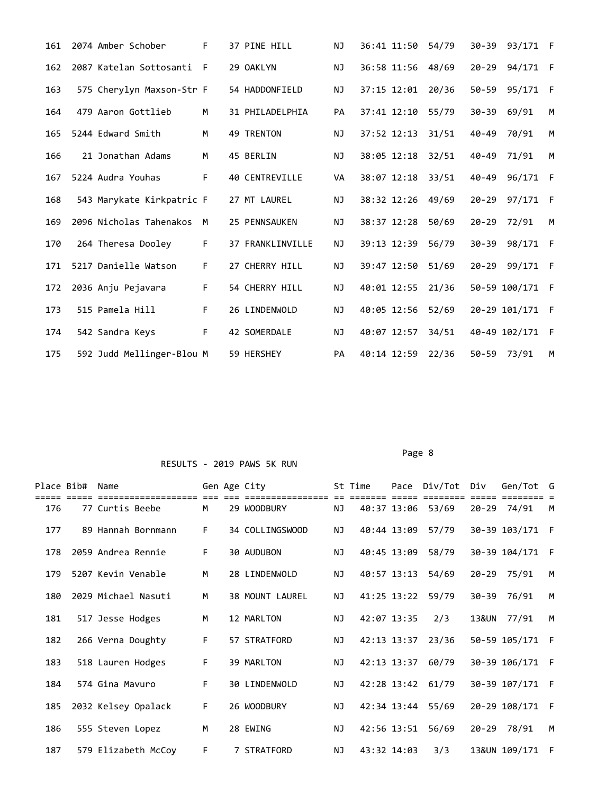| 161 | 2074 Amber Schober        | F  | 37 PINE HILL          | NJ.       | 36:41 11:50 | 54/79 |           | 30-39 93/171 F |              |
|-----|---------------------------|----|-----------------------|-----------|-------------|-------|-----------|----------------|--------------|
| 162 | 2087 Katelan Sottosanti   | F  | 29 OAKLYN             | NJ.       | 36:58 11:56 | 48/69 | $20 - 29$ | 94/171 F       |              |
| 163 | 575 Cherylyn Maxson-Str F |    | 54 HADDONFIELD        | NJ        | 37:15 12:01 | 20/36 | $50 - 59$ | 95/171         | - F          |
| 164 | 479 Aaron Gottlieb        | M  | 31 PHILADELPHIA       | <b>PA</b> | 37:41 12:10 | 55/79 | $30 - 39$ | 69/91          | M            |
| 165 | 5244 Edward Smith         | M  | 49 TRENTON            | NJ.       | 37:52 12:13 | 31/51 | $40 - 49$ | 70/91          | M            |
| 166 | 21 Jonathan Adams         | M  | 45 BERLIN             | <b>NJ</b> | 38:05 12:18 | 32/51 | $40 - 49$ | 71/91          | M            |
| 167 | 5224 Audra Youhas         | F  | <b>40 CENTREVILLE</b> | <b>VA</b> | 38:07 12:18 | 33/51 | $40 - 49$ | 96/171         | $\mathsf{F}$ |
| 168 | 543 Marykate Kirkpatric F |    | 27 MT LAUREL          | NJ.       | 38:32 12:26 | 49/69 | $20 - 29$ | 97/171         | - F          |
| 169 | 2096 Nicholas Tahenakos   | M  | 25 PENNSAUKEN         | NJ.       | 38:37 12:28 | 50/69 | $20 - 29$ | 72/91          | M            |
| 170 | 264 Theresa Dooley        | F. | 37 FRANKLINVILLE      | NJ.       | 39:13 12:39 | 56/79 | $30 - 39$ | 98/171         | -F           |
| 171 | 5217 Danielle Watson      | F. | 27 CHERRY HILL        | NJ.       | 39:47 12:50 | 51/69 | $20 - 29$ | 99/171         | - F          |
| 172 | 2036 Anju Pejavara        | F  | 54 CHERRY HILL        | NJ.       | 40:01 12:55 | 21/36 |           | 50-59 100/171  | $\mathsf{F}$ |
| 173 | 515 Pamela Hill           | F. | 26 LINDENWOLD         | NJ.       | 40:05 12:56 | 52/69 |           | 20-29 101/171  | - F          |
| 174 | 542 Sandra Keys           | F  | 42 SOMERDALE          | NJ.       | 40:07 12:57 | 34/51 |           | 40-49 102/171  | -F           |
| 175 | 592 Judd Mellinger-Blou M |    | 59 HERSHEY            | <b>PA</b> | 40:14 12:59 | 22/36 | $50 - 59$ | 73/91          | M            |

Page 8 and 2012 and 2012 and 2012 and 2012 and 2012 and 2012 and 2012 and 2012 and 2012 and 2012 and 2012 and RESULTS - 2019 PAWS 5K RUN

| Place Bib# | Name                |    | Gen Age City    |     | St Time     |             | Pace Div/Tot Div  |           | Gen/Tot G       |              |
|------------|---------------------|----|-----------------|-----|-------------|-------------|-------------------|-----------|-----------------|--------------|
| 176        | 77 Curtis Beebe     | M  | 29 WOODBURY     | NJ  |             |             | 40:37 13:06 53/69 |           | 20-29 74/91     | M            |
| 177        | 89 Hannah Bornmann  | F. | 34 COLLINGSWOOD | NJ  |             | 40:44 13:09 | 57/79             |           | 30-39 103/171   | - F          |
| 178        | 2059 Andrea Rennie  | F. | 30 AUDUBON      | ΝJ  |             | 40:45 13:09 | 58/79             |           | 30-39 104/171   | - F          |
| 179        | 5207 Kevin Venable  | M  | 28 LINDENWOLD   | NJ  |             | 40:57 13:13 | 54/69             |           | 20-29 75/91     | M            |
| 180        | 2029 Michael Nasuti | M  | 38 MOUNT LAUREL | NJ  |             | 41:25 13:22 | 59/79             | 30-39     | 76/91           | M            |
| 181        | 517 Jesse Hodges    | M  | 12 MARLTON      | NJ  | 42:07 13:35 |             | 2/3               | 13&UN     | 77/91           | M            |
| 182        | 266 Verna Doughty   | F. | 57 STRATFORD    | NJ. |             | 42:13 13:37 | 23/36             |           | 50-59 105/171   | - F          |
| 183        | 518 Lauren Hodges   | F. | 39 MARLTON      | NJ  |             | 42:13 13:37 | 60/79             |           | 30-39 106/171 F |              |
| 184        | 574 Gina Mavuro     | F. | 30 LINDENWOLD   | NJ  |             |             | 42:28 13:42 61/79 |           | 30-39 107/171 F |              |
| 185        | 2032 Kelsey Opalack | F. | 26 WOODBURY     | NJ. |             | 42:34 13:44 | 55/69             |           | 20-29 108/171   | $\mathsf{F}$ |
| 186        | 555 Steven Lopez    | M  | 28 EWING        | NJ  |             | 42:56 13:51 | 56/69             | $20 - 29$ | 78/91           | M            |
| 187        | 579 Elizabeth McCoy | F  | 7 STRATFORD     | NJ  | 43:32 14:03 |             | 3/3               |           | 13&UN 109/171 F |              |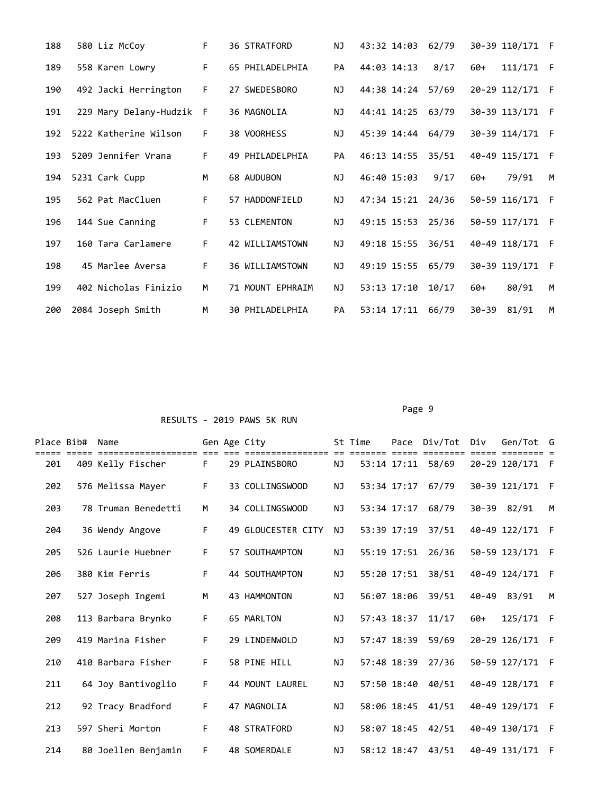| 188 | 580 Liz McCoy            | F  | <b>36 STRATFORD</b> | NJ  | 43:32 14:03 | 62/79 | 30-39 110/171      | - F |
|-----|--------------------------|----|---------------------|-----|-------------|-------|--------------------|-----|
| 189 | 558 Karen Lowry          | F  | 65 PHILADELPHIA     | PA  | 44:03 14:13 | 8/17  | 111/171<br>$60+$   | - F |
| 190 | 492 Jacki Herrington     | F  | 27 SWEDESBORO       | NJ. | 44:38 14:24 | 57/69 | 20-29 112/171      | - F |
| 191 | 229 Mary Delany-Hudzik F |    | 36 MAGNOLIA         | NJ  | 44:41 14:25 | 63/79 | 30-39 113/171      | -F  |
| 192 | 5222 Katherine Wilson    | F. | 38 VOORHESS         | ΝJ  | 45:39 14:44 | 64/79 | 30-39 114/171      | -F  |
| 193 | 5209 Jennifer Vrana      | F  | 49 PHILADELPHIA     | PA  | 46:13 14:55 | 35/51 | 40-49 115/171      | -F  |
| 194 | 5231 Cark Cupp           | M  | 68 AUDUBON          | NJ. | 46:40 15:03 | 9/17  | 79/91<br>$60+$     | M   |
| 195 | 562 Pat MacCluen         | F  | 57 HADDONFIELD      | ΝJ  | 47:34 15:21 | 24/36 | 50-59 116/171      | F   |
| 196 | 144 Sue Canning          | F. | 53 CLEMENTON        | NJ  | 49:15 15:53 | 25/36 | 50-59 117/171      | F   |
| 197 | 160 Tara Carlamere       | F  | 42 WILLIAMSTOWN     | NJ. | 49:18 15:55 | 36/51 | 40-49 118/171      | F   |
| 198 | 45 Marlee Aversa         | F  | 36 WILLIAMSTOWN     | NJ. | 49:19 15:55 | 65/79 | 30-39 119/171      | F   |
| 199 | 402 Nicholas Finizio     | M  | 71 MOUNT EPHRAIM    | NJ. | 53:13 17:10 | 10/17 | 80/91<br>$60+$     | M   |
| 200 | 2084 Joseph Smith        | M  | 30 PHILADELPHIA     | PA  | 53:14 17:11 | 66/79 | $30 - 39$<br>81/91 | M   |

Page 9

| Place Bib# | Name                                    |    | Gen Age City       |           | St Time     |             | Pace Div/Tot | Div   | Gen/Tot       | G            |
|------------|-----------------------------------------|----|--------------------|-----------|-------------|-------------|--------------|-------|---------------|--------------|
| 201        | :=================<br>409 Kelly Fischer | F. | 29 PLAINSBORO      | NJ        |             | 53:14 17:11 | 58/69        |       | 20-29 120/171 | - F          |
| 202        | 576 Melissa Mayer                       | F  | 33 COLLINGSWOOD    | NJ.       |             | 53:34 17:17 | 67/79        |       | 30-39 121/171 | - F          |
| 203        | 78 Truman Benedetti                     | M  | 34 COLLINGSWOOD    | NJ        | 53:34 17:17 |             | 68/79        |       | 30-39 82/91   | M            |
| 204        | 36 Wendy Angove                         | F  | 49 GLOUCESTER CITY | NJ.       | 53:39 17:19 |             | 37/51        |       | 40-49 122/171 | $\mathsf{F}$ |
| 205        | 526 Laurie Huebner                      | F  | 57 SOUTHAMPTON     | NJ        | 55:19 17:51 |             | 26/36        |       | 50-59 123/171 | - F          |
| 206        | 380 Kim Ferris                          | F  | 44 SOUTHAMPTON     | NJ        | 55:20 17:51 |             | 38/51        |       | 40-49 124/171 | $\mathsf{F}$ |
| 207        | 527 Joseph Ingemi                       | M  | 43 HAMMONTON       | ΝJ        | 56:07 18:06 |             | 39/51        | 40-49 | 83/91         | M            |
| 208        | 113 Barbara Brynko                      | F  | 65 MARLTON         | NJ.       | 57:43 18:37 |             | 11/17        | $60+$ | 125/171       | -F           |
| 209        | 419 Marina Fisher                       | F. | 29 LINDENWOLD      | NJ.       | 57:47 18:39 |             | 59/69        |       | 20-29 126/171 | -F           |
| 210        | 410 Barbara Fisher                      | F  | 58 PINE HILL       | NJ.       | 57:48 18:39 |             | 27/36        |       | 50-59 127/171 | F            |
| 211        | 64 Joy Bantivoglio                      | F  | 44 MOUNT LAUREL    | NJ        |             | 57:50 18:40 | 40/51        |       | 40-49 128/171 | - F          |
| 212        | 92 Tracy Bradford                       | F  | 47 MAGNOLIA        | <b>NJ</b> |             | 58:06 18:45 | 41/51        |       | 40-49 129/171 | - F          |
| 213        | 597 Sheri Morton                        | F  | 48 STRATFORD       | NJ        | 58:07 18:45 |             | 42/51        |       | 40-49 130/171 | - F          |
| 214        | 80 Joellen Benjamin                     | F  | 48 SOMERDALE       | NJ.       |             | 58:12 18:47 | 43/51        |       | 40-49 131/171 | - F          |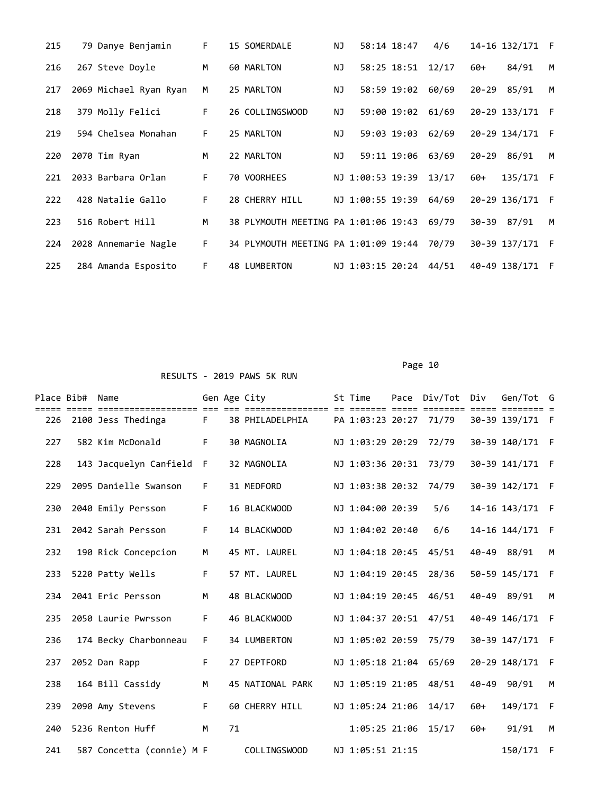| 215 | 79 Danye Benjamin      | F. | 15 SOMERDALE                         | ΝJ  | 58:14 18:47      | 4/6   | 14-16 132/171      | F  |
|-----|------------------------|----|--------------------------------------|-----|------------------|-------|--------------------|----|
| 216 | 267 Steve Doyle        | M  | 60 MARLTON                           | NJ. | 58:25 18:51      | 12/17 | 84/91<br>60+       | M  |
| 217 | 2069 Michael Ryan Ryan | M  | 25 MARLTON                           | ΝJ  | 58:59 19:02      | 60/69 | 85/91<br>$20 - 29$ | M  |
| 218 | 379 Molly Felici       | F. | 26 COLLINGSWOOD                      | ΝJ  | 59:00 19:02      | 61/69 | 20-29 133/171      | F  |
| 219 | 594 Chelsea Monahan    | F. | 25 MARLTON                           | ΝJ  | 59:03 19:03      | 62/69 | 20-29 134/171      | F  |
| 220 | 2070 Tim Ryan          | M  | 22 MARLTON                           | NJ. | 59:11 19:06      | 63/69 | $20 - 29$<br>86/91 | M  |
| 221 | 2033 Barbara Orlan     | F. | 70 VOORHEES                          |     | NJ 1:00:53 19:39 | 13/17 | 135/171<br>60+     | F  |
| 222 | 428 Natalie Gallo      | F. | 28 CHERRY HILL                       |     | NJ 1:00:55 19:39 | 64/69 | 20-29 136/171      | F  |
| 223 | 516 Robert Hill        | M  | 38 PLYMOUTH MEETING PA 1:01:06 19:43 |     |                  | 69/79 | 87/91<br>30-39     | м  |
| 224 | 2028 Annemarie Nagle   | F. | 34 PLYMOUTH MEETING PA 1:01:09 19:44 |     |                  | 70/79 | 30-39 137/171      | -F |
| 225 | 284 Amanda Esposito    | F  | 48 LUMBERTON                         |     | NJ 1:03:15 20:24 | 44/51 | 40-49 138/171      | F  |

Page 10

|     | Place Bib# Name |                           |             |     | Gen Age City                            | St Time                                                       | Pace Div/Tot     | Div                     | Gen/Tot G       |              |
|-----|-----------------|---------------------------|-------------|-----|-----------------------------------------|---------------------------------------------------------------|------------------|-------------------------|-----------------|--------------|
| 226 |                 | 2100 Jess Thedinga        | $= 1$<br>F. | === | ====================<br>38 PHILADELPHIA | $=$ $=$ $=$ $=$ $=$ $=$ $=$ $=$ $=$<br>PA 1:03:23 20:27 71/79 | === ====<br>==== | $=$ $=$ $=$ $=$ $=$ $=$ | 30-39 139/171 F |              |
| 227 |                 | 582 Kim McDonald          | F.          |     | 30 MAGNOLIA                             | NJ 1:03:29 20:29                                              | 72/79            |                         | 30-39 140/171 F |              |
| 228 |                 | 143 Jacquelyn Canfield    | F.          |     | 32 MAGNOLIA                             | NJ 1:03:36 20:31                                              | 73/79            |                         | 30-39 141/171 F |              |
| 229 |                 | 2095 Danielle Swanson     | F.          |     | 31 MEDFORD                              | NJ 1:03:38 20:32                                              | 74/79            |                         | 30-39 142/171 F |              |
| 230 |                 | 2040 Emily Persson        | F.          |     | 16 BLACKWOOD                            | NJ 1:04:00 20:39                                              | 5/6              |                         | 14-16 143/171 F |              |
| 231 |                 | 2042 Sarah Persson        | F.          |     | 14 BLACKWOOD                            | NJ 1:04:02 20:40                                              | 6/6              |                         | 14-16 144/171   | - F          |
| 232 |                 | 190 Rick Concepcion       | M           |     | 45 MT. LAUREL                           | NJ 1:04:18 20:45                                              | 45/51            |                         | 40-49 88/91     | M            |
| 233 |                 | 5220 Patty Wells          | F.          |     | 57 MT. LAUREL                           | NJ 1:04:19 20:45                                              | 28/36            |                         | 50-59 145/171   | - F          |
| 234 |                 | 2041 Eric Persson         | M           |     | 48 BLACKWOOD                            | NJ 1:04:19 20:45                                              | 46/51            |                         | 40-49 89/91     | M            |
| 235 |                 | 2050 Laurie Pwrsson       | F.          |     | 46 BLACKWOOD                            | NJ 1:04:37 20:51                                              | 47/51            |                         | 40-49 146/171   | F            |
| 236 |                 | 174 Becky Charbonneau     | F.          |     | 34 LUMBERTON                            | NJ 1:05:02 20:59                                              | 75/79            |                         | 30-39 147/171 F |              |
| 237 |                 | 2052 Dan Rapp             | F.          |     | 27 DEPTFORD                             | NJ 1:05:18 21:04                                              | 65/69            |                         | 20-29 148/171 F |              |
| 238 |                 | 164 Bill Cassidy          | M           |     | 45 NATIONAL PARK                        | NJ 1:05:19 21:05                                              | 48/51            |                         | 40-49 90/91     | M            |
| 239 |                 | 2090 Amy Stevens          | F.          |     | 60 CHERRY HILL                          | NJ 1:05:24 21:06                                              | 14/17            | $60+$                   | 149/171         | $\mathsf{F}$ |
| 240 |                 | 5236 Renton Huff          | M           | 71  |                                         | 1:05:25 21:06                                                 | 15/17            | $60+$                   | 91/91           | M            |
| 241 |                 | 587 Concetta (connie) M F |             |     | <b>COLLINGSWOOD</b>                     | NJ 1:05:51 21:15                                              |                  |                         | 150/171         | - F          |